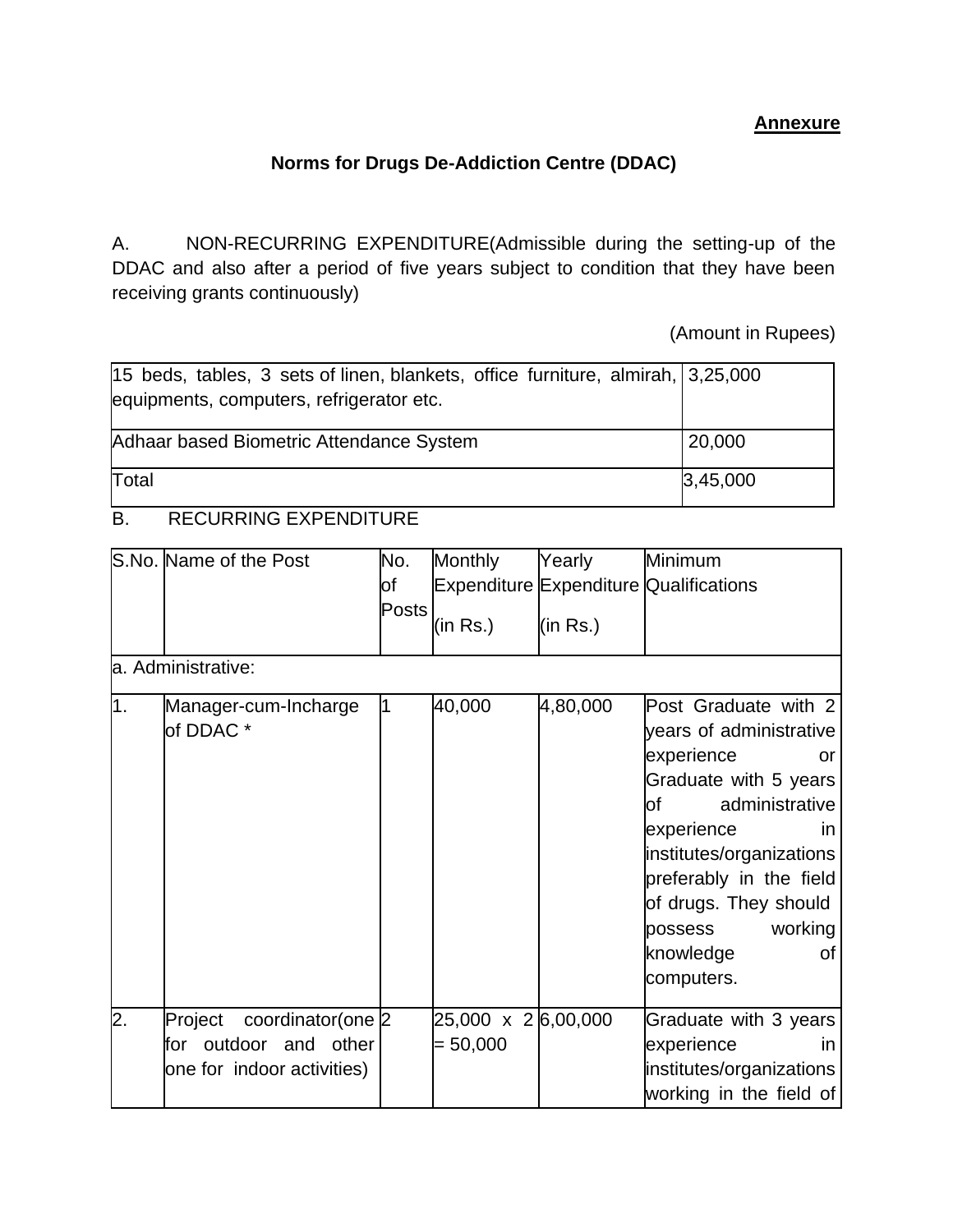## **Annexure**

## **Norms for Drugs De-Addiction Centre (DDAC)**

A. NON-RECURRING EXPENDITURE(Admissible during the setting-up of the DDAC and also after a period of five years subject to condition that they have been receiving grants continuously)

(Amount in Rupees)

| 15 beds, tables, 3 sets of linen, blankets, office furniture, almirah, 3,25,000<br>equipments, computers, refrigerator etc. |          |
|-----------------------------------------------------------------------------------------------------------------------------|----------|
| Adhaar based Biometric Attendance System                                                                                    | 20,000   |
| Total                                                                                                                       | 3,45,000 |

## B. RECURRING EXPENDITURE

|                  | S.No. Name of the Post<br>a. Administrative:                                        | No.<br><b>of</b><br>Posts | <b>Monthly</b><br>(in Rs.)       | Yearly<br>(in Rs.) | Minimum<br><b>Expenditure Expenditure Qualifications</b>                                                                                                                                                                                                                        |
|------------------|-------------------------------------------------------------------------------------|---------------------------|----------------------------------|--------------------|---------------------------------------------------------------------------------------------------------------------------------------------------------------------------------------------------------------------------------------------------------------------------------|
| 1.               | Manager-cum-Incharge<br>of DDAC <sup>*</sup>                                        | 1                         | 40,000                           | 4,80,000           | Post Graduate with 2<br>years of administrative<br>experience<br>or<br>Graduate with 5 years<br>administrative<br>of<br>experience<br>in<br>institutes/organizations<br>preferably in the field<br>of drugs. They should<br>working<br>possess<br>knowledge<br>οf<br>computers. |
| $\overline{2}$ . | Project<br>coordinator(one 2<br>for outdoor and other<br>one for indoor activities) |                           | 25,000 x 26,00,000<br>$= 50,000$ |                    | Graduate with 3 years<br>experience<br><i>in</i><br>institutes/organizations<br>working in the field of                                                                                                                                                                         |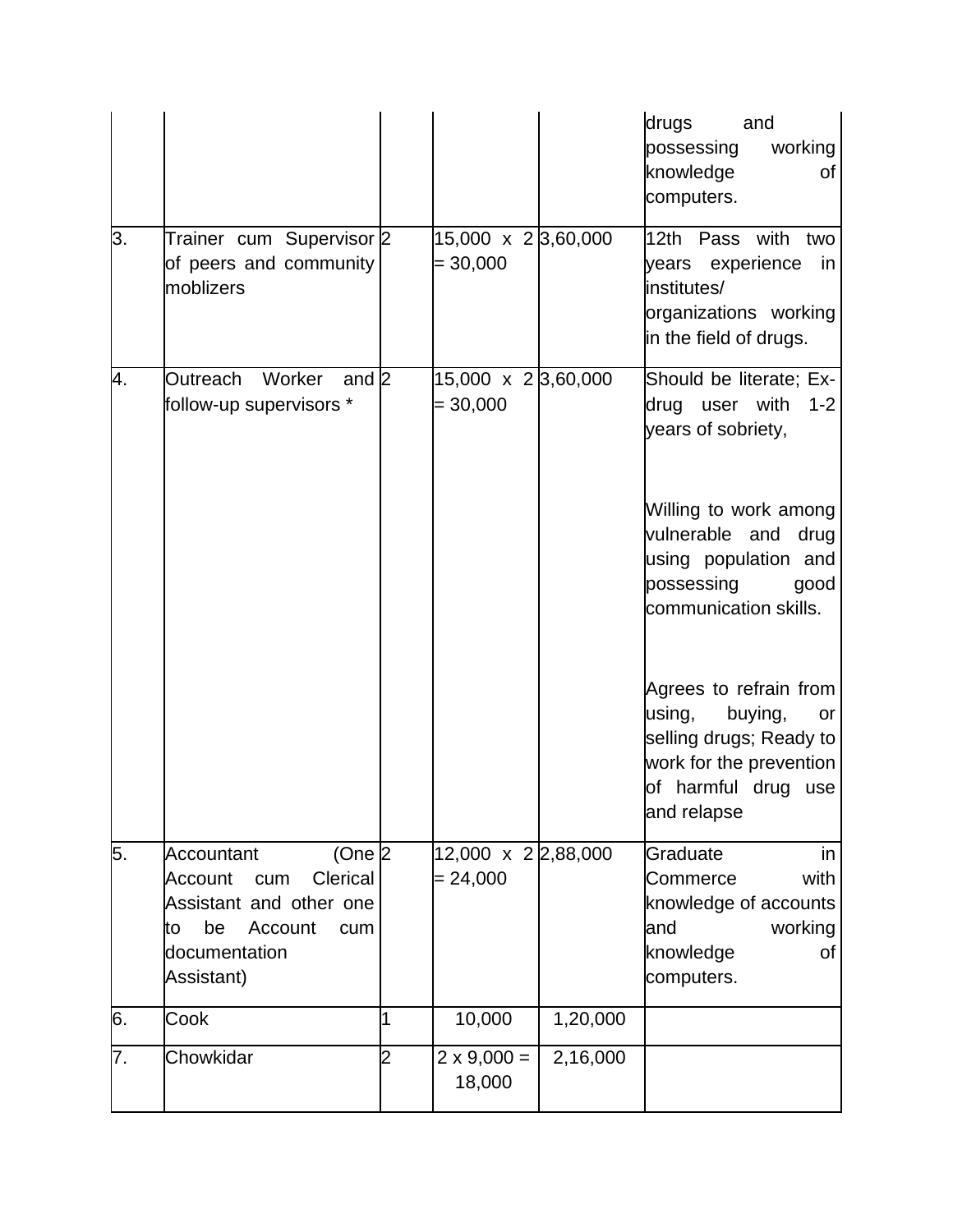|    |                                                                                                    |                |                                          |          | drugs<br>and<br>possessing<br>working<br>knowledge<br>of<br>computers.                                                                        |
|----|----------------------------------------------------------------------------------------------------|----------------|------------------------------------------|----------|-----------------------------------------------------------------------------------------------------------------------------------------------|
| 3. | Trainer cum Supervisor 2<br>of peers and community<br>moblizers                                    |                | $15,000 \times 2,3,60,000$<br>$= 30,000$ |          | 12th Pass with<br>two<br>years experience<br>in<br>institutes/<br>organizations working<br>in the field of drugs.                             |
| 4. | Outreach Worker<br>and $2$<br>follow-up supervisors *                                              |                | $15,000 \times 2,3,60,000$<br>$= 30,000$ |          | Should be literate; Ex-<br>drug user with<br>$1 - 2$<br>years of sobriety,                                                                    |
|    |                                                                                                    |                |                                          |          | Willing to work among<br>vulnerable and<br>drug<br>using population and<br>possessing<br>good<br>communication skills.                        |
|    |                                                                                                    |                |                                          |          | Agrees to refrain from<br>using,<br>buying,<br>or<br>selling drugs; Ready to<br>work for the prevention<br>of harmful drug use<br>and relapse |
| 5. | $(One  2 AccountantClericalAccountcumAssistant and other onebeAccountcumtodocumentationAssistant)$ |                | 12,000 x 2 2,88,000<br>$= 24,000$        |          | Graduate<br>in<br>with<br>Commerce<br>knowledge of accounts<br>working<br>and<br>knowledge<br>οf<br>computers.                                |
| 6. | Cook                                                                                               | 1              | 10,000                                   | 1,20,000 |                                                                                                                                               |
| 7. | Chowkidar                                                                                          | $\overline{c}$ | $2 \times 9,000 =$<br>18,000             | 2,16,000 |                                                                                                                                               |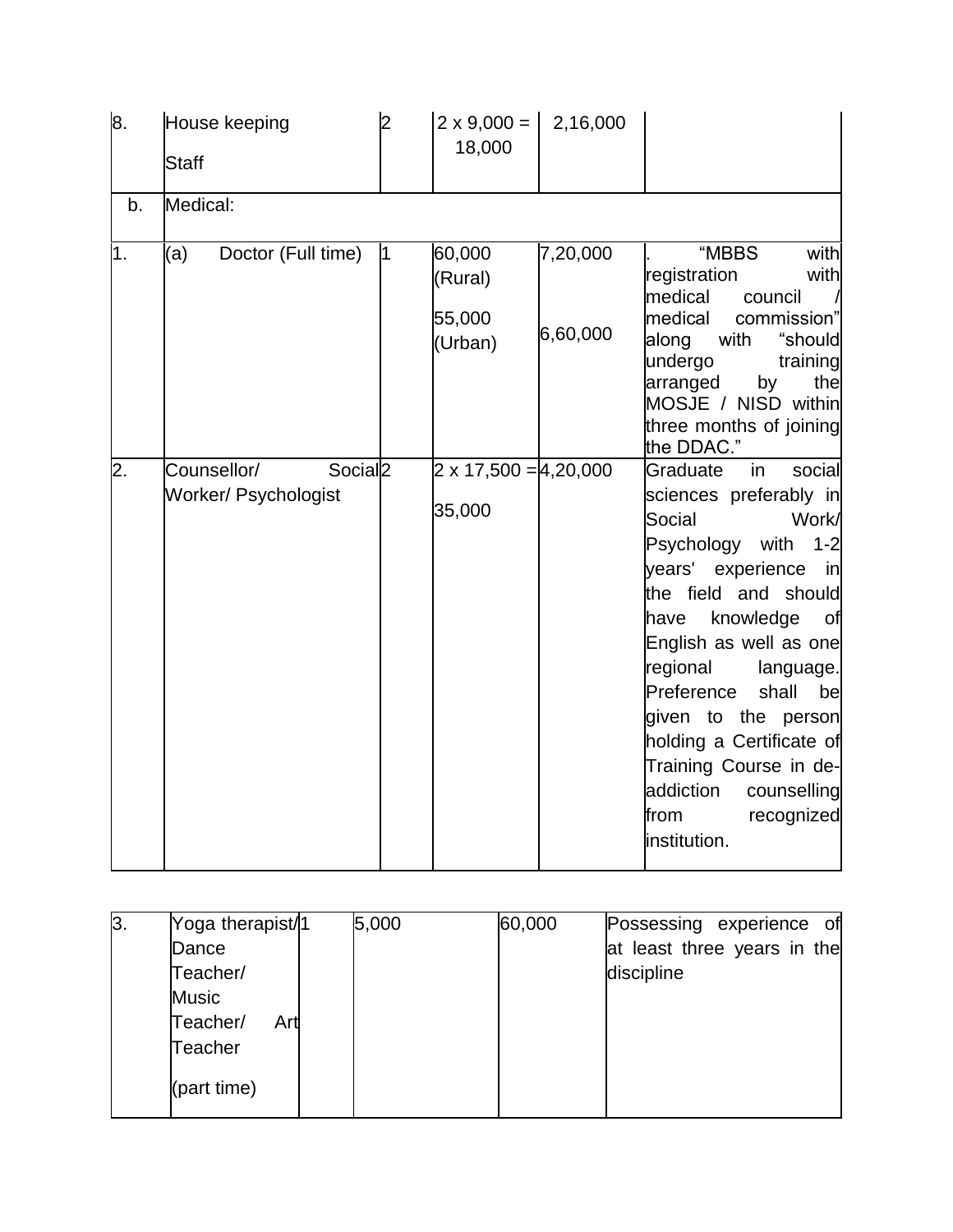| 8.               | House keeping<br><b>Staff</b>                              | l2 | $2 \times 9,000 =$<br>18,000           | 2,16,000             |                                                                                                                                                                                                                                                                                                                                                                                                           |
|------------------|------------------------------------------------------------|----|----------------------------------------|----------------------|-----------------------------------------------------------------------------------------------------------------------------------------------------------------------------------------------------------------------------------------------------------------------------------------------------------------------------------------------------------------------------------------------------------|
| b.               | Medical:                                                   |    |                                        |                      |                                                                                                                                                                                                                                                                                                                                                                                                           |
| 1.               | Doctor (Full time)<br>(a)                                  | 1  | 60,000<br>(Rural)<br>55,000<br>(Urban) | 7,20,000<br>6,60,000 | "MBBS<br>with<br>registration<br>with<br>medical<br>council<br>medical<br>commission"<br>along<br>with<br>"should<br>undergo<br>training<br>arranged<br>by<br>the<br>MOSJE / NISD within<br>three months of joining<br>the DDAC."                                                                                                                                                                         |
| $\overline{2}$ . | Counsellor/<br>Social <sub>2</sub><br>Worker/ Psychologist |    | $2 \times 17,500 = 4,20,000$<br>35,000 |                      | social<br>in<br>Graduate<br>sciences preferably in<br>Work/<br>Social<br>Psychology with 1-2<br>years' experience<br>in<br>the field and should<br>knowledge<br>of<br>have<br>English as well as one<br>regional<br>language.<br>Preference<br>shall<br>be<br>given to the person<br>holding a Certificate of<br>Training Course in de-<br>addiction<br>counselling<br>from<br>recognized<br>institution. |

| 3. | Yoga therapist/1 | 5,000 | 60,000 | Possessing experience of    |
|----|------------------|-------|--------|-----------------------------|
|    | Dance            |       |        | at least three years in the |
|    | Teacher/         |       |        | discipline                  |
|    | <b>Music</b>     |       |        |                             |
|    | Teacher/<br>Art  |       |        |                             |
|    | Teacher          |       |        |                             |
|    | (part time)      |       |        |                             |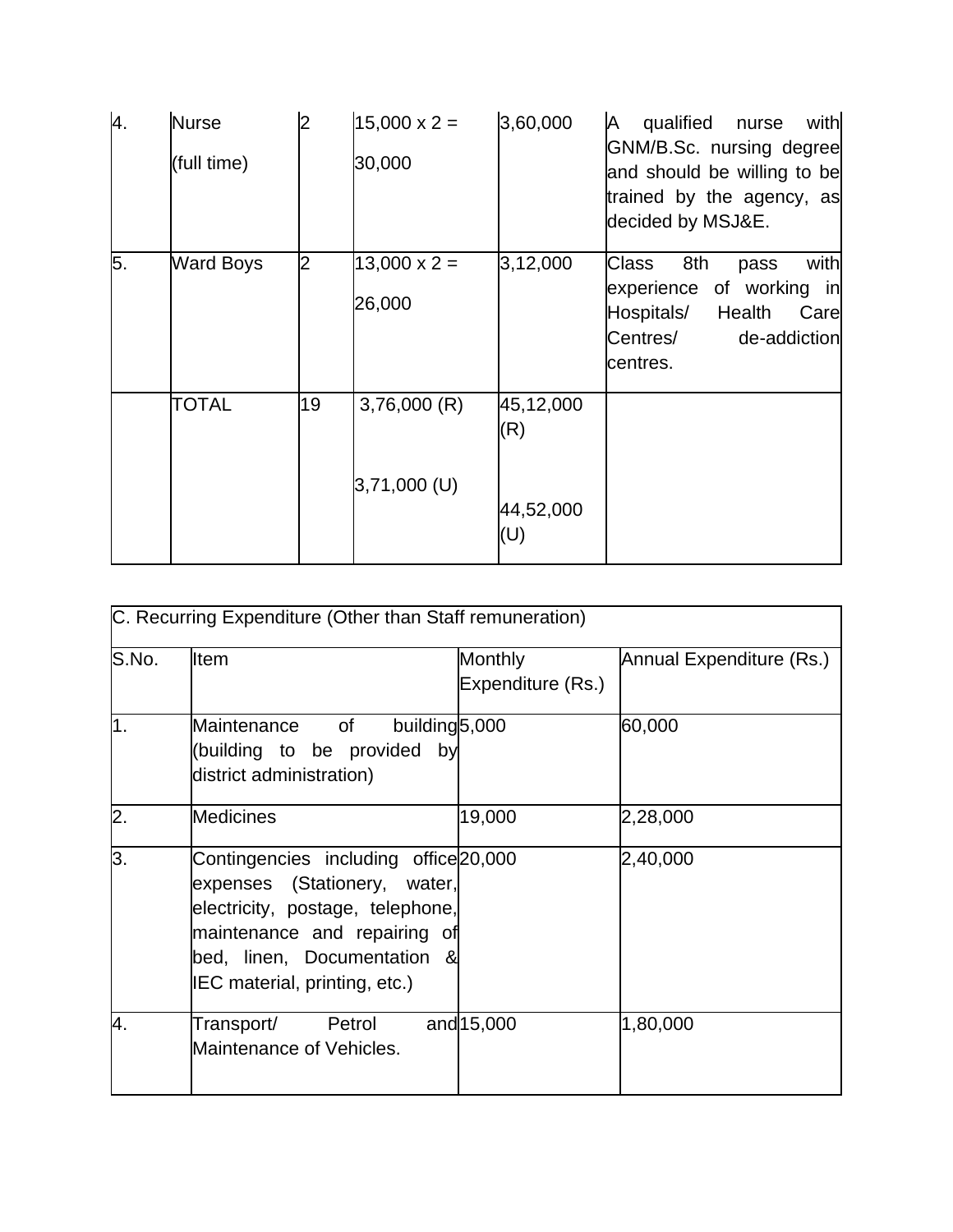| 4. | <b>Nurse</b><br>(full time) | 2  | $15,000 \times 2 =$<br>30,000 | 3,60,000         | with<br>qualified<br>A<br>nurse<br>GNM/B.Sc. nursing degree<br>and should be willing to be<br>trained by the agency, as<br>decided by MSJ&E. |
|----|-----------------------------|----|-------------------------------|------------------|----------------------------------------------------------------------------------------------------------------------------------------------|
| 5. | <b>Ward Boys</b>            | 2  | $13,000 \times 2 =$<br>26,000 | 3,12,000         | with<br>Class<br>8th<br>pass<br>experience of working in<br>Hospitals/<br>Health<br>Care<br>Centres/<br>de-addiction<br>centres.             |
|    | <b>TOTAL</b>                | 19 | 3,76,000(R)                   | 45,12,000<br>(R) |                                                                                                                                              |
|    |                             |    | $3,71,000$ (U)                | 44,52,000<br>(U) |                                                                                                                                              |

|       | C. Recurring Expenditure (Other than Staff remuneration)                                                                                                                                                  |                                     |                          |
|-------|-----------------------------------------------------------------------------------------------------------------------------------------------------------------------------------------------------------|-------------------------------------|--------------------------|
| S.No. | <b>Item</b>                                                                                                                                                                                               | <b>Monthly</b><br>Expenditure (Rs.) | Annual Expenditure (Rs.) |
| 1.    | building <sup>5</sup> ,000<br>Maintenance<br>of<br>(building to be provided by<br>district administration)                                                                                                |                                     | 60,000                   |
| 2.    | <b>Medicines</b>                                                                                                                                                                                          | 19,000                              | 2,28,000                 |
| 3.    | Contingencies including office 20,000<br>expenses (Stationery, water,<br>electricity, postage, telephone,<br>maintenance and repairing of<br>bed, linen, Documentation &<br>IEC material, printing, etc.) |                                     | 2,40,000                 |
| 4.    | Transport/ Petrol<br>Maintenance of Vehicles.                                                                                                                                                             | and 15,000                          | 1,80,000                 |